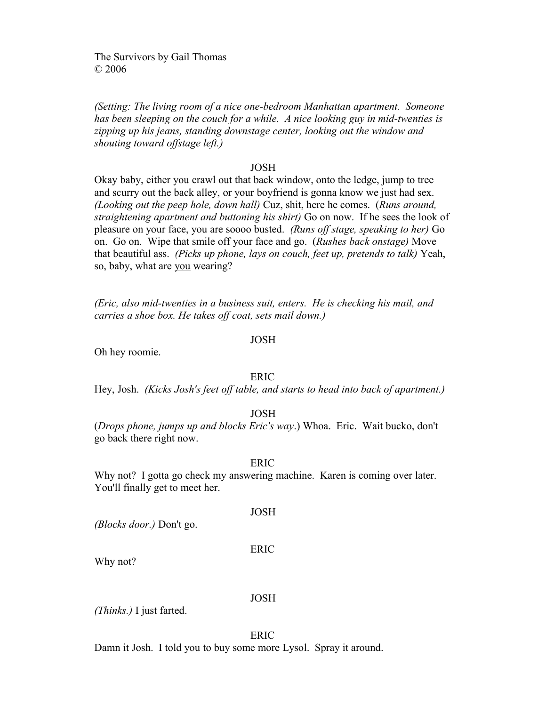The Survivors by Gail Thomas © 2006

*(Setting: The living room of a nice one-bedroom Manhattan apartment. Someone has been sleeping on the couch for a while. A nice looking guy in mid-twenties is zipping up his jeans, standing downstage center, looking out the window and shouting toward offstage left.)*

# JOSH

Okay baby, either you crawl out that back window, onto the ledge, jump to tree and scurry out the back alley, or your boyfriend is gonna know we just had sex. *(Looking out the peep hole, down hall)* Cuz, shit, here he comes. (*Runs around, straightening apartment and buttoning his shirt)* Go on now. If he sees the look of pleasure on your face, you are soooo busted. *(Runs off stage, speaking to her)* Go on. Go on. Wipe that smile off your face and go. (*Rushes back onstage)* Move that beautiful ass. *(Picks up phone, lays on couch, feet up, pretends to talk)* Yeah, so, baby, what are you wearing?

*(Eric, also mid-twenties in a business suit, enters. He is checking his mail, and carries a shoe box. He takes off coat, sets mail down.)*

# JOSH

Oh hey roomie.

#### ERIC

Hey, Josh. *(Kicks Josh's feet off table, and starts to head into back of apartment.)*

# JOSH

(*Drops phone, jumps up and blocks Eric's way*.) Whoa. Eric. Wait bucko, don't go back there right now.

#### ERIC

Why not? I gotta go check my answering machine. Karen is coming over later. You'll finally get to meet her.

*(Blocks door.)* Don't go.

#### ERIC

JOSH

Why not?

#### JOSH

*(Thinks.)* I just farted.

#### ERIC

Damn it Josh. I told you to buy some more Lysol. Spray it around.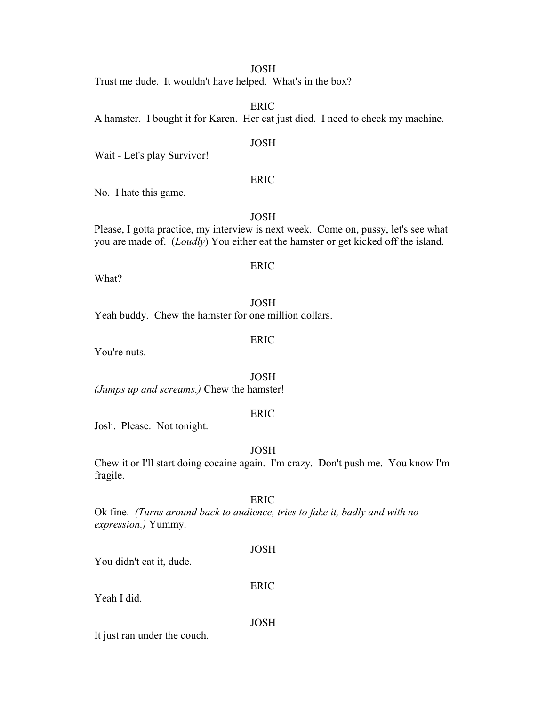# **JOSH**

Trust me dude. It wouldn't have helped. What's in the box?

ERIC

A hamster. I bought it for Karen. Her cat just died. I need to check my machine.

#### JOSH

Wait - Let's play Survivor!

#### ERIC

No. I hate this game.

JOSH

Please, I gotta practice, my interview is next week. Come on, pussy, let's see what you are made of. (*Loudly*) You either eat the hamster or get kicked off the island.

What?

# ERIC

JOSH Yeah buddy. Chew the hamster for one million dollars.

ERIC

You're nuts.

JOSH *(Jumps up and screams.)* Chew the hamster!

# ERIC

Josh. Please. Not tonight.

# JOSH

Chew it or I'll start doing cocaine again. I'm crazy. Don't push me. You know I'm fragile.

ERIC

JOSH

ERIC

Ok fine. *(Turns around back to audience, tries to fake it, badly and with no expression.)* Yummy.

You didn't eat it, dude.

Yeah I did.

# JOSH

It just ran under the couch.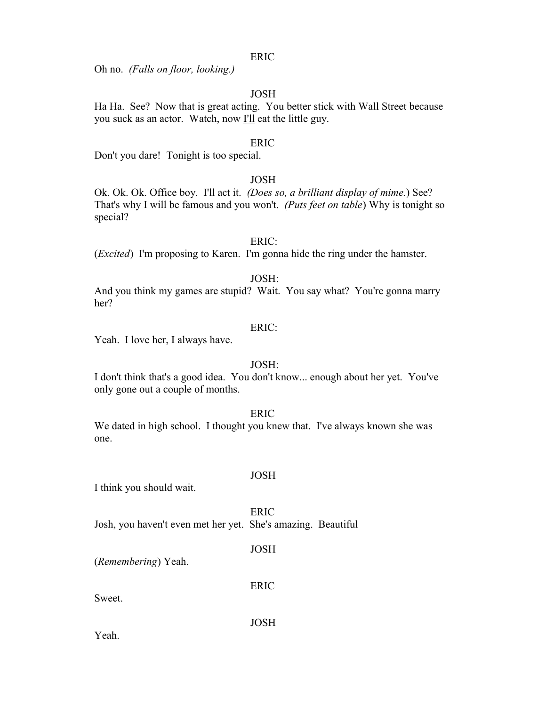#### ERIC

Oh no. *(Falls on floor, looking.)*

# JOSH

Ha Ha. See? Now that is great acting. You better stick with Wall Street because you suck as an actor. Watch, now I'll eat the little guy.

# ERIC

Don't you dare! Tonight is too special.

# JOSH

Ok. Ok. Ok. Office boy. I'll act it. *(Does so, a brilliant display of mime.*) See? That's why I will be famous and you won't. *(Puts feet on table*) Why is tonight so special?

# ERIC:

(*Excited*) I'm proposing to Karen. I'm gonna hide the ring under the hamster.

#### JOSH:

And you think my games are stupid? Wait. You say what? You're gonna marry her?

#### ERIC:

Yeah. I love her, I always have.

# JOSH:

I don't think that's a good idea. You don't know... enough about her yet. You've only gone out a couple of months.

ERIC

We dated in high school. I thought you knew that. I've always known she was one.

#### JOSH

I think you should wait.

ERIC Josh, you haven't even met her yet. She's amazing. Beautiful

JOSH

(*Remembering*) Yeah.

ERIC

Sweet.

JOSH

Yeah.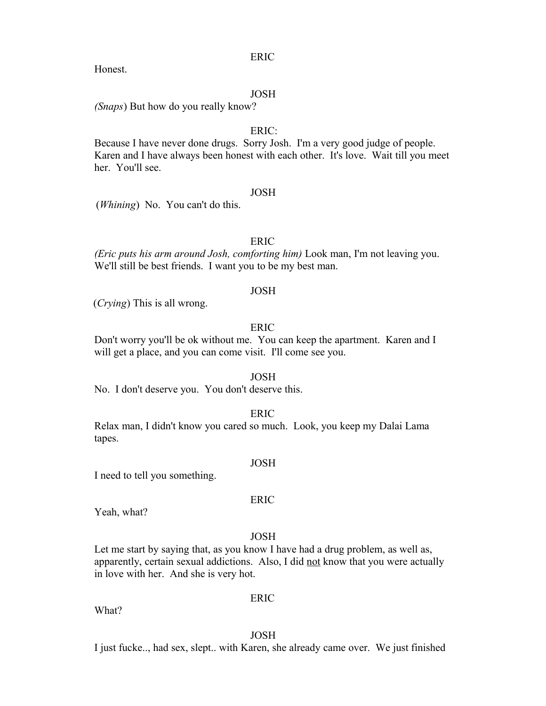ERIC

Honest.

# JOSH

*(Snaps*) But how do you really know?

# ERIC:

Because I have never done drugs. Sorry Josh. I'm a very good judge of people. Karen and I have always been honest with each other. It's love. Wait till you meet her. You'll see.

# JOSH

(*Whining*) No. You can't do this.

#### ERIC

*(Eric puts his arm around Josh, comforting him)* Look man, I'm not leaving you. We'll still be best friends. I want you to be my best man.

#### JOSH

(*Crying*) This is all wrong.

# **ERIC**

Don't worry you'll be ok without me. You can keep the apartment. Karen and I will get a place, and you can come visit. I'll come see you.

#### JOSH

No. I don't deserve you. You don't deserve this.

#### ERIC

Relax man, I didn't know you cared so much. Look, you keep my Dalai Lama tapes.

#### JOSH

I need to tell you something.

Yeah, what?

# JOSH

ERIC

Let me start by saying that, as you know I have had a drug problem, as well as, apparently, certain sexual addictions. Also, I did not know that you were actually in love with her. And she is very hot.

What?

# ERIC

JOSH

I just fucke.., had sex, slept.. with Karen, she already came over. We just finished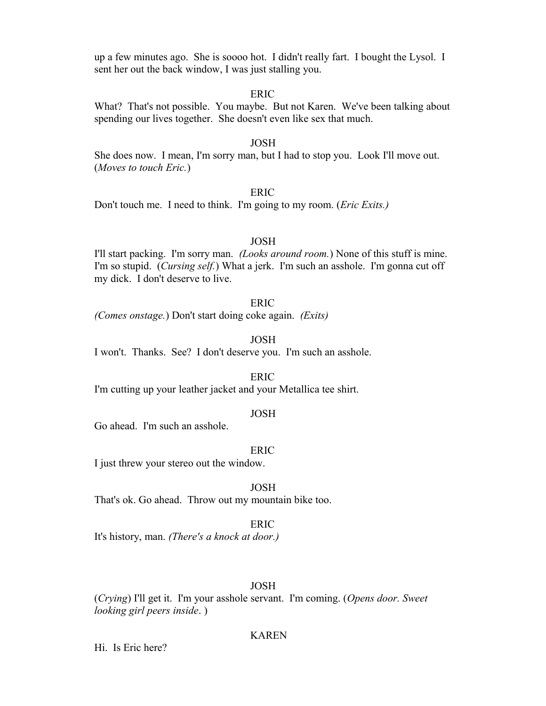up a few minutes ago. She is soooo hot. I didn't really fart. I bought the Lysol. I sent her out the back window, I was just stalling you.

#### ERIC

What? That's not possible. You maybe. But not Karen. We've been talking about spending our lives together. She doesn't even like sex that much.

#### JOSH

She does now. I mean, I'm sorry man, but I had to stop you. Look I'll move out. (*Moves to touch Eric.*)

# ERIC

Don't touch me. I need to think. I'm going to my room. (*Eric Exits.)*

#### JOSH

I'll start packing. I'm sorry man. *(Looks around room.*) None of this stuff is mine. I'm so stupid. (*Cursing self.*) What a jerk. I'm such an asshole. I'm gonna cut off my dick. I don't deserve to live.

#### ERIC

*(Comes onstage.*) Don't start doing coke again. *(Exits)*

JOSH

I won't. Thanks. See? I don't deserve you. I'm such an asshole.

#### ERIC

I'm cutting up your leather jacket and your Metallica tee shirt.

# JOSH

Go ahead. I'm such an asshole.

#### ERIC

I just threw your stereo out the window.

JOSH

That's ok. Go ahead. Throw out my mountain bike too.

#### ERIC

It's history, man. *(There's a knock at door.)*

#### JOSH

(*Crying*) I'll get it. I'm your asshole servant. I'm coming. (*Opens door. Sweet looking girl peers inside*. )

# KAREN

Hi. Is Eric here?